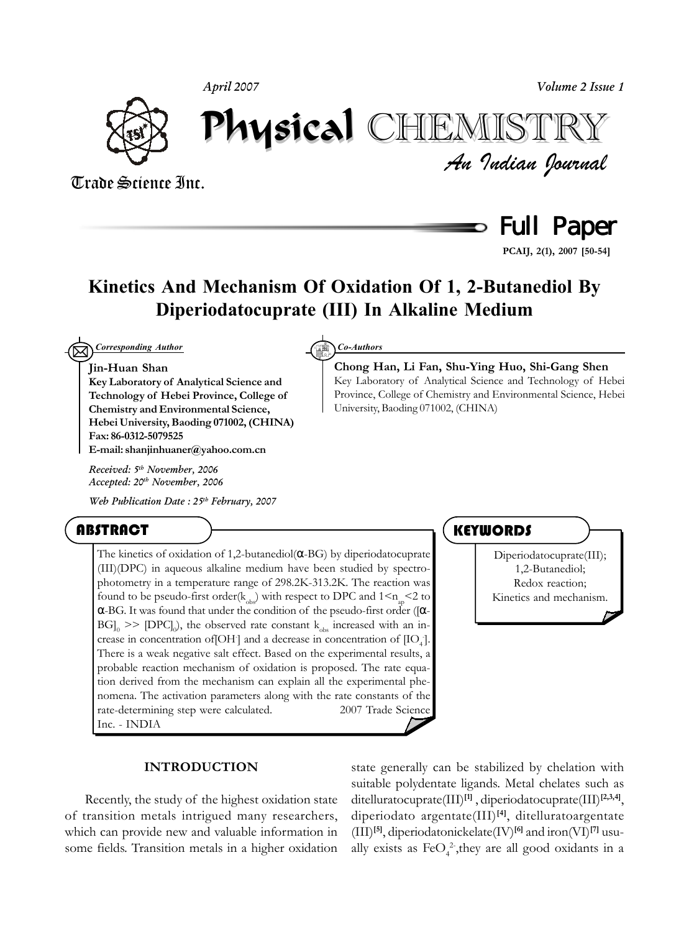*April 2007*

*Volume 2 Issue 1*



Physical Physical CHEMISTRY CHEMISTRY

*An Indian Journal* Trade Science Inc.



**PCAIJ, 2(1), 2007 [50-54]**

# **Kinetics And Mechanism Of Oxidation Of 1, 2-Butanediol By Diperiodatocuprate (III) In Alkaline Medium**

 $\boxtimes$ *Corresponding Author Co-Authors*

## **Jin-Huan Shan**

**Key Laboratory of Analytical Science and Technology of Hebei Province, College of Chemistry and Environmental Science, Hebei University, Baoding 071002, (CHINA) Fax: 86-0312-5079525 E-mail: shanjinhuaner@yahoo.com.cn**

*Received: 5th November, 2006 Accepted: 20th November, 2006*

*Web Publication Date : 25th February, 2007*

# ABSTRACT

The kinetics of oxidation of 1,2-butanediol( $\alpha$ -BG) by diperiodatocuprate (III)(DPC) in aqueous alkaline medium have been studied by spectrophotometry in a temperature range of 298.2K-313.2K. The reaction was found to be pseudo-first order( $k_{obs}$ ) with respect to DPC and  $1 \le n_{obs} \le 2$  to α-BG. It was found that under the condition of the pseudo-first order ([α- $|\text{B}G|_{0}$  >>  $|\text{DPC}|_{0}$ ), the observed rate constant  $k_{obs}$  increased with an increase in concentration of [OH] and a decrease in concentration of [IO<sub>4</sub>]. There is a weak negative salt effect. Based on the experimental results, a probable reaction mechanism of oxidation is proposed. The rate equation derived from the mechanism can explain all the experimental phenomena. The activation parameters along with the rate constants of the rate-determining step were calculated.  $\oslash$  2007 Trade Science Inc. - INDIA

# **KEYWORDS**

**Chong Han, Li Fan, Shu-Ying Huo, Shi-Gang Shen** Key Laboratory of Analytical Science and Technology of Hebei Province, College of Chemistry and Environmental Science, Hebei

University, Baoding 071002, (CHINA)

Diperiodatocuprate(III); 1,2-Butanediol; Redox reaction; Kinetics and mechanism.

# **INTRODUCTION**

Recently, the study of the highest oxidation state of transition metals intrigued many researchers, which can provide new and valuable information in some fields. Transition metals in a higher oxidation state generally can be stabilized by chelation with suitable polydentate ligands. Metal chelates such as ditelluratocuprate(III)**[1]** , diperiodatocuprate(III)**[2,3,4]**, diperiodato argentate(III)**[4]**, ditelluratoargentate (III)**[5]**, diperiodatonickelate(IV)**[6]** and iron(VI)**[7]** usually exists as  $FeO<sub>4</sub><sup>2</sup>$ , they are all good oxidants in a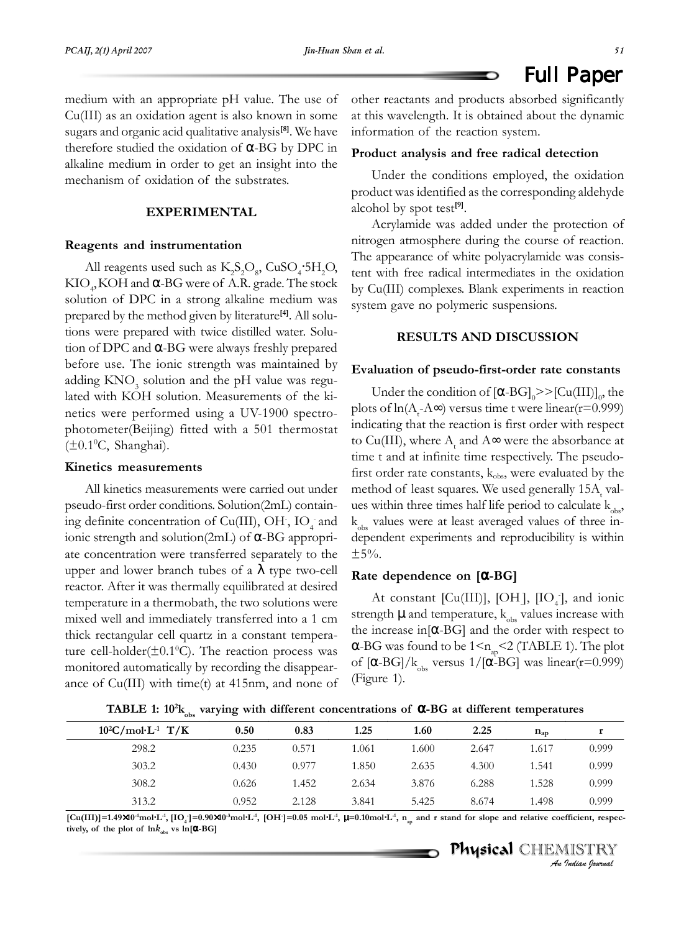Full Paper

medium with an appropriate pH value. The use of Cu(III) as an oxidation agent is also known in some sugars and organic acid qualitative analysis**[8]**. We have therefore studied the oxidation of  $\alpha$ -BG by DPC in alkaline medium in order to get an insight into the mechanism of oxidation of the substrates.

# **EXPERIMENTAL**

### **Reagents and instrumentation**

All reagents used such as  $K_2S_2O_8$ , CuSO<sub>4</sub>.5H<sub>2</sub>O, KIO<sub>4</sub>, KOH and  $\alpha$ -BG were of A.R. grade. The stock solution of DPC in a strong alkaline medium was prepared by the method given by literature**[4]**. All solutions were prepared with twice distilled water. Solution of DPC and α-BG were always freshly prepared before use. The ionic strength was maintained by adding  $\text{KNO}_3$  solution and the pH value was regulated with KOH solution. Measurements of the kinetics were performed using a UV-1900 spectrophotometer(Beijing) fitted with a 501 thermostat (±0.1ºC, Shanghai).

### **Kinetics measurements**

All kinetics measurements were carried out under pseudo-first order conditions. Solution(2mL) containing definite concentration of Cu(III), OH,  $IO_{4}$  and ionic strength and solution(2mL) of α-BG appropriate concentration were transferred separately to the upper and lower branch tubes of a  $\lambda$  type two-cell reactor. After it was thermally equilibrated at desired temperature in a thermobath, the two solutions were mixed well and immediately transferred into a 1 cm thick rectangular cell quartz in a constant temperature cell-holder( $\pm 0.1$ <sup>o</sup>C). The reaction process was monitored automatically by recording the disappearance of Cu(III) with time(t) at 415nm, and none of other reactants and products absorbed significantly at this wavelength. It is obtained about the dynamic information of the reaction system.

## **Product analysis and free radical detection**

Under the conditions employed, the oxidation product was identified as the corresponding aldehyde alcohol by spot test**[9]**.

Acrylamide was added under the protection of nitrogen atmosphere during the course of reaction. The appearance of white polyacrylamide was consistent with free radical intermediates in the oxidation by Cu(III) complexes. Blank experiments in reaction system gave no polymeric suspensions.

# **RESULTS AND DISCUSSION**

### **Evaluation of pseudo-first-order rate constants**

Under the condition of  $[\alpha\text{-}BG]_0 \gg [Cu(III)]_0$ , the plots of ln(A<sub>t</sub>-A∞) versus time t were linear(r=0.999) indicating that the reaction is first order with respect to Cu(III), where  $A_t$  and  $A\infty$  were the absorbance at time t and at infinite time respectively. The pseudofirst order rate constants,  $k_{obs}$ , were evaluated by the method of least squares. We used generally  $15A_{\rm t}$  values within three times half life period to calculate  $k_{obs}$ ,  $k_{obs}$  values were at least averaged values of three independent experiments and reproducibility is within  $±5%$ .

### **Rate dependence on [**α**-BG]**

At constant [Cu(III)], [OH],  $[IO_4]$ , and ionic strength  $\mu$  and temperature,  $k_{obs}$  values increase with the increase in $[\alpha$ -BG] and the order with respect to α-BG was found to be  $1 \le n_{\text{ap}} < 2$  (TABLE 1). The plot of  $[\alpha$ -BG]/ $k_{obs}$  versus 1/[ $\alpha$ -BG] was linear(r=0.999) (Figure 1).

**TABLE 1:** 10<sup>2</sup>k<sub>obs</sub> varying with different concentrations of **α-BG** at different temperatures

| ັບບວ                             |       |       |       |       |       |              |       |
|----------------------------------|-------|-------|-------|-------|-------|--------------|-------|
| $10^2$ C/mol·L <sup>-1</sup> T/K | 0.50  | 0.83  | 1.25  | 1.60  | 2.25  | $n_{\rm ap}$ |       |
| 298.2                            | 0.235 | 0.571 | 1.061 | 1.600 | 2.647 | 1.617        | 0.999 |
| 303.2                            | 0.430 | 0.977 | 1.850 | 2.635 | 4.300 | 1.541        | 0.999 |
| 308.2                            | 0.626 | 1.452 | 2.634 | 3.876 | 6.288 | 1.528        | 0.999 |
| 313.2                            | 0.952 | 2.128 | 3.841 | 5.425 | 8.674 | l.498        | 0.999 |

[Cu(III)]=1.49×10<sup>4</sup>mol·L<sup>-1</sup>, [IO<sub>4</sub>]=0.90×10<sup>-3</sup>mol·L<sup>-1</sup>, [OH<sup>-</sup>]=0.05 mol·L<sup>-1</sup>,  $\mu$ =0.10mol·L<sup>-1</sup>, n<sub>ap</sub> and r stand for slope and relative coefficient, respec**tively, of the plot of**  $\ln k_{obs}$  **vs**  $\ln[\alpha - BG]$ 

> Physical Physical CHEMISTRY *An Indian Journal*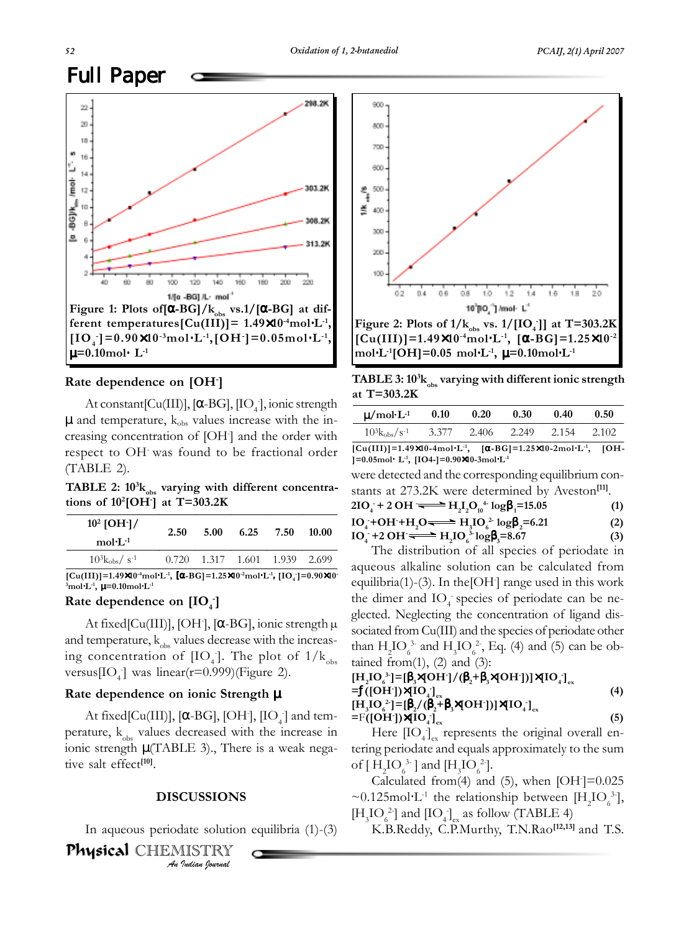# Full Paper



# **Rate dependence on [OH- ]**

At constant [Cu(III)], [ $\alpha$ -BG], [IO<sub>4</sub>], ionic strength  $\mu$  and temperature,  $k_{obs}$  values increase with the increasing concentration of [OH- ] and the order with respect to OH- was found to be fractional order (TABLE 2). were detected and the corresponding equilibrium con-

TABLE 2:  $10^{3}$ k<sub>obs</sub> varying with different concentra**tions of 102 [OH- ] at T=303.2K**

| $10^2$ [OH $\cdot$ ]/<br>$mol·L-1$         | 2.50  | 5.00 | 6.25 | 7.50                    | 10.00 |
|--------------------------------------------|-------|------|------|-------------------------|-------|
| $10^3 \text{k}_{\text{obs}}/\text{s}^{-1}$ | 0.720 |      |      | 1.317 1.601 1.939 2.699 |       |

**[Cu(III)]=1.49×10<sup>-4</sup>mol⋅L<sup>-1</sup>, [α-BG]=1.25×10<sup>-2</sup>mol⋅L<sup>-1</sup>, [IO<sub>4</sub>]=0.90×10<sup>-</sup> 3 mol**⋅**L-1,** µ**=0.10mol**⋅**L-1**

# **Rate dependence on [IO<sub>4</sub><sup>-</sup>]**

At fixed[Cu(III)], [OH], [α-BG], ionic strength μ and temperature,  $k_{obs}$  values decrease with the increasing concentration of  $[IO_4]$ . The plot of  $1/k_{obs}$ versus $[IO_4]$  was linear(r=0.999)(Figure 2).

# **Rate dependence on ionic Strength** µ

At fixed[Cu(III)], [ $\alpha$ -BG], [OH<sup>-</sup>], [IO<sub>4</sub><sup>-</sup>] and temperature,  $k_{obs}$  values decreased with the increase in ionic strength  $\mu$ (TABLE 3)., There is a weak negative salt effect**[10]**.

## **DISCUSSIONS**

In aqueous periodate solution equilibria (1)-(3)

*An Indian Journal* Physical Physical CHEMISTRY



**TABLE 3: 103 kobs varying with different ionic strength at T=303.2K**

| $\mu$ /mol·L <sup>-1</sup> | 0.10  | 0.20  | 0.30  | 0.40  | 0.50  |
|----------------------------|-------|-------|-------|-------|-------|
| $10^{3}k_{\rm obs}/s^{-1}$ | 3.377 | 2.406 | 2.249 | 2.154 | 2.102 |

**[Cu(III)]=1.49**×**10-4mol**⋅**L-1, [**α**-BG]=1.25**×**10-2mol**⋅**L-1, [OH- ]=0.05mol**⋅ **L-1, [IO4-]=0.90**×**10-3mol**⋅**L-1**

stants at 273.2K were determined by Aveston**[11]**.

$$
2IO4 + 2 OH — H2I2O10+ logβ1=15.05
$$
\n
$$
IO4 + OH + H2O — H3IO62 logβ2=6.21
$$
\n
$$
IO4 + 2 OH — H2IO63 logβ3=8.67
$$
\n(3)

The distribution of all species of periodate in aqueous alkaline solution can be calculated from equilibria(1)-(3). In the[OH- ] range used in this work the dimer and IO<sub>4</sub> species of periodate can be neglected. Neglecting the concentration of ligand dissociated from Cu(III) and the species of periodate other than  $H_2 IO_6^{3}$  and  $H_3 IO_6^{2}$ , Eq. (4) and (5) can be obtained from $(1)$ ,  $(2)$  and  $(3)$ :

$$
[H2IO03] = [\beta3×[OH]/(\beta2+ \beta3×[OH'])]×[IO4]ex=f([OH'])×[IO4]ex (4)[H3IO02] = [\beta2/(β2+ β3×[OH'])]×[IO4]ex (5)
$$

Here  $[IO_4]_{ex}$  represents the original overall entering periodate and equals approximately to the sum of  $[H_2IO_6^{3}]$  and  $[H_3IO_6^{2}].$ 

Calculated from(4) and (5), when  $[OH] = 0.025$ ~0.125mol⋅L<sup>-1</sup> the relationship between [H<sub>2</sub>IO<sub>6</sub><sup>3-</sup>],  $[H_3IO_6^2]$  and  $[IO_4]_{ex}$  as follow (TABLE 4)

K.B.Reddy, C.P.Murthy, T.N.Rao**[12,13]** and T.S.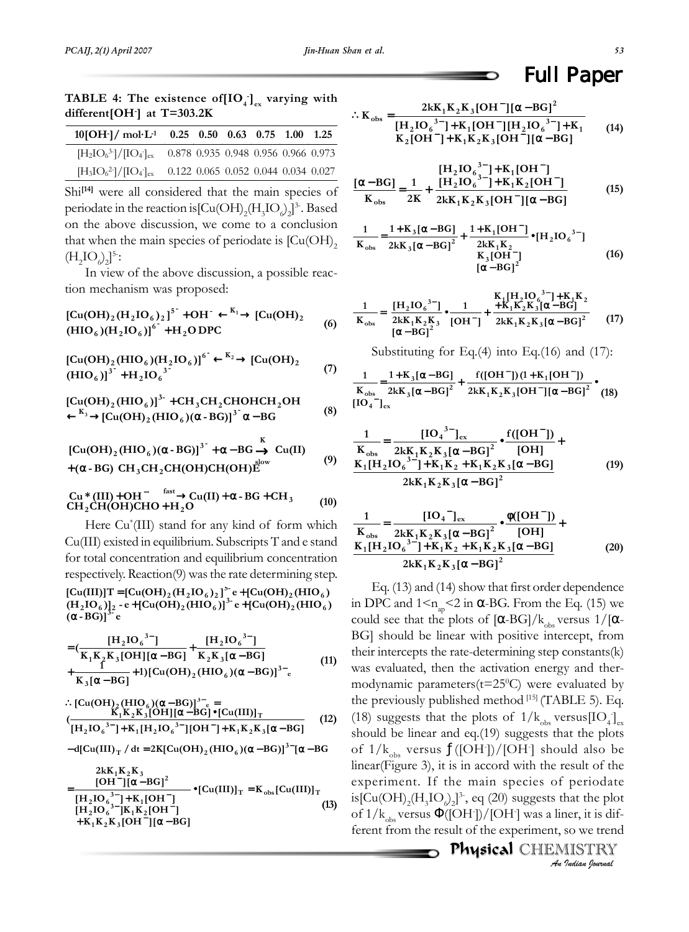| $10[OH^{-1} / \text{mol} \cdot \text{L}^{-1}$ 0.25 0.50 0.63 0.75 1.00 1.25 |                                     |  |  |                                     |
|-----------------------------------------------------------------------------|-------------------------------------|--|--|-------------------------------------|
| $[H_2IO_6{}^{3-}]/[IO_4{}^{1}]_{ex}$                                        | 0.878 0.935 0.948 0.956 0.966 0.973 |  |  |                                     |
| $[H_3IO_6^2]/[IO_4]_{ex}$                                                   |                                     |  |  | 0.122 0.065 0.052 0.044 0.034 0.027 |

Shi<sup>[14]</sup> were all considered that the main species of periodate in the reaction is  $\text{[Cu(OH)}_{2}\text{(H}_{3}\text{IO}_{o})_{2}]^{3}$ . Based on the above discussion, we come to a conclusion that when the main species of periodate is  $[Cu(OH)]$ <sub>2</sub>  $(H_2IO_0)_2]^5$ :

In view of the above discussion, a possible reaction mechanism was proposed:

$$
[Cu(OH)2(H2IO6)2]5 + OH-  $\leftarrow$ <sup>K<sub>1</sub></sup> [Cu(OH)<sub>2</sub>   
(HIO<sub>6</sub>)(H<sub>2</sub>IO<sub>6</sub>)]<sup>6</sup> + H<sub>2</sub> O DPC
$$
 (6)

$$
[Cu(OH)2(HIO6)(H2IO6)]6 \xrightarrow{K_2} [Cu(OH)2 (7)
$$
  
(HIO<sub>6</sub>)]<sup>3</sup> + H<sub>2</sub>IO<sub>6</sub><sup>3</sup>

$$
[Cu(OH)2(HIO6)]3 + CH3CH2CHOHCH2OH
$$
  

$$
\xleftarrow{K_3} [Cu(OH)2(HIO6)(\alpha - BG)]3 \alpha - BG
$$
 (8)

$$
[Cu(OH)2(HIO6)( $\alpha$ -BG)]<sup>3</sup> +  $\alpha$ -BG  $\rightarrow$  Cu(II)  
+( $\alpha$ -BG) CH<sub>3</sub>CH<sub>2</sub>CH(OH)CH(OH) $\dot{E}^{\text{slow}}$  (9)
$$

$$
\begin{array}{ll}\n\text{Cu} * (\text{III}) + \text{OH}^- & \xrightarrow{\text{fast}} \text{Cu}(\text{II}) + \alpha - \text{BG} + \text{CH}_3 \\
\text{CH}_2\text{CH}(\text{OH})\text{CHO} + \text{H}_2\text{O}\n\end{array} \tag{10}
$$

Here Cu\* (III) stand for any kind of form which Cu(III) existed in equilibrium. Subscripts T and e stand for total concentration and equilibrium concentration respectively. Reaction(9) was the rate determining step.

**( -BG)] e** α **(H**<sub>2</sub>**IO**<sub>6</sub>)]<sub>2</sub> -**e** + **[Cu(OH)**<sub>2</sub>(**HIO**<sub>6</sub>)]<sup>3</sup><sup>-</sup>**e** + **[Cu(OH)**<sub>2</sub>(**HIO**<sub>6</sub>)<br>( $\alpha$  - **B**C)<sup>13</sup>-<sup>0</sup>  $[Cu(III)]$ T =  $[Cu(OH)_2(H_2IO_6)_2]^5$ <sup>2</sup> **e** +  $[Cu(OH)_2(HIO_6)_2]$ 

$$
= \left(\frac{[H_2IO_6^{3-}]}{K_1K_2K_3[OH][\alpha-BG]} + \frac{[H_2IO_6^{3-}]}{K_2K_3[\alpha-BG]} + \frac{1}{K_2K_3[\alpha-BG]} + 1)[Cu(OH)_2(HIO_6)(\alpha-BG)]^{3-}e\right)
$$
(11)

$$
\therefore [Cu(OH)_2(HIO_6)(\alpha - BG)]^{3-}e =
$$
  
\n
$$
(\frac{K_1K_2K_3[OH][\alpha - BG]\bullet [Cu(III)]_T}{[H_2IO_6^{3-}] + K_1[H_2IO_6^{3-}][OH^-] + K_1K_2K_3[\alpha - BG]}
$$
(12)

$$
-d[Cu(III)T/dt = 2K[Cu(OH)2(HIO6)( $\alpha$ -BG)]<sup>3-</sup>[ $\alpha$ -BG
$$

$$
= \frac{2kK_1K_2K_3}{[OH^-][\alpha - BG]^2} \cdot [Cu(III)]_T = K_{obs}[Cu(III)]_T
$$
  
\n
$$
[H_2IO_6^{3-}] + K_1[OH^-]
$$
  
\n
$$
+ K_1K_2K_3[OH^-][\alpha - BG]
$$
\n(13)

# Full Paper

$$
\therefore K_{obs} = \frac{2kK_1K_2K_3[OH^-][\alpha - BG]^2}{[H_2IO_0^{3-}]+K_1[OH^-][H_2IO_0^{3-}]+K_1 \atop K_2[OH^-]+K_1K_2K_3[OH^-][\alpha - BG]} \tag{14}
$$

$$
\frac{[\alpha - BG]}{K_{obs}} = \frac{1}{2K} + \frac{[H_2IO_6^{3-}] + K_1[OH^-]}{2kK_1K_2K_3[OH^-][\alpha - BG]}
$$
(15)

$$
\frac{1}{K_{obs}} = \frac{1 + K_3 [\alpha - BG]}{2kK_3 [\alpha - BG]^2} + \frac{1 + K_1 [OH^-]}{2kK_1K_2} \bullet [H_2 IO_6^{3-}]
$$
  
\n
$$
\frac{K_3 [OH^-]}{[\alpha - BG]^2}
$$
 (16)

$$
\frac{1}{K_{obs}} = \frac{[H_2IO_6^{3-}]}{2kK_1K_2K_3} \cdot \frac{1}{[OH^-]} + \frac{K_1[H_2IO_6^{3-}]+K_1K_2}{2kK_1K_2K_3[\alpha - BG]^2}
$$
\n(17)

Substituting for Eq. $(4)$  into Eq. $(16)$  and  $(17)$ :

$$
\frac{1}{K_{obs}} = \frac{1 + K_3 [\alpha - BG]}{2kK_3 [\alpha - BG]^2} + \frac{f([OH^-])(1 + K_1[OH^-])}{2kK_1K_2K_3[OH^-][\alpha - BG]^2} \bullet (18)
$$

$$
\frac{1}{K_{obs}} = \frac{[IO_{4}^{3-}]_{ex}}{2kK_{1}K_{2}K_{3}[\alpha - BG]^{2}} \cdot \frac{f([OH^{-}])}{[OH]} + \frac{K_{1}[H_{2}IO_{6}^{3-}] + K_{1}K_{2} + K_{1}K_{2}K_{3}[\alpha - BG]}{2kK_{1}K_{2}K_{3}[\alpha - BG]^{2}}
$$
(19)

$$
\frac{1}{K_{obs}} = \frac{[IO_{4}^-]_{ex}}{2kK_{1}K_{2}K_{3}[\alpha - BG]^{2}} \cdot \frac{\phi([OH^-])}{[OH]} + K_{1}[H_{2}IO_{6}^{3-}] + K_{1}K_{2} + K_{1}K_{2}K_{3}[\alpha - BG]}{2kK_{1}K_{2}K_{3}[\alpha - BG]^{2}}
$$
(20)

Eq. (13) and (14) show that first order dependence in DPC and  $1 \leq n_{ap} \leq 2$  in  $\alpha$ -BG. From the Eq. (15) we could see that the plots of  $\left[\alpha-\text{BG}\right]/\text{k}_{obs}$  versus  $1/[\alpha-\text{G}(\alpha)]$ BG] should be linear with positive intercept, from their intercepts the rate-determining step constants(k) was evaluated, then the activation energy and thermodynamic parameters( $t = 25$ °C) were evaluated by the previously published method  $[15]$  (TABLE 5). Eq. (18) suggests that the plots of  $1/k_{obs}$  versus $[IO_{4}]_{ex}$ should be linear and eq.(19) suggests that the plots of 1/k $_{\rm obs}$  versus  $f({\rm [OH^{\textstyle{\cdot}}]})/{\rm [OH^{\textstyle{\cdot}}]}$  should also be linear(Figure 3), it is in accord with the result of the experiment. If the main species of periodate is[Cu(OH)<sub>2</sub>(H<sub>3</sub>IO<sub>0</sub>)<sub>2</sub>]<sup>3</sup>, eq (20) suggests that the plot of 1/k $_{\rm obs}$ versus  $\Phi({\rm [OH]})/{\rm [OH]}$  was a liner, it is different from the result of the experiment, so we trend

> Physical Physical CHEMISTRY *An Indian Journal*